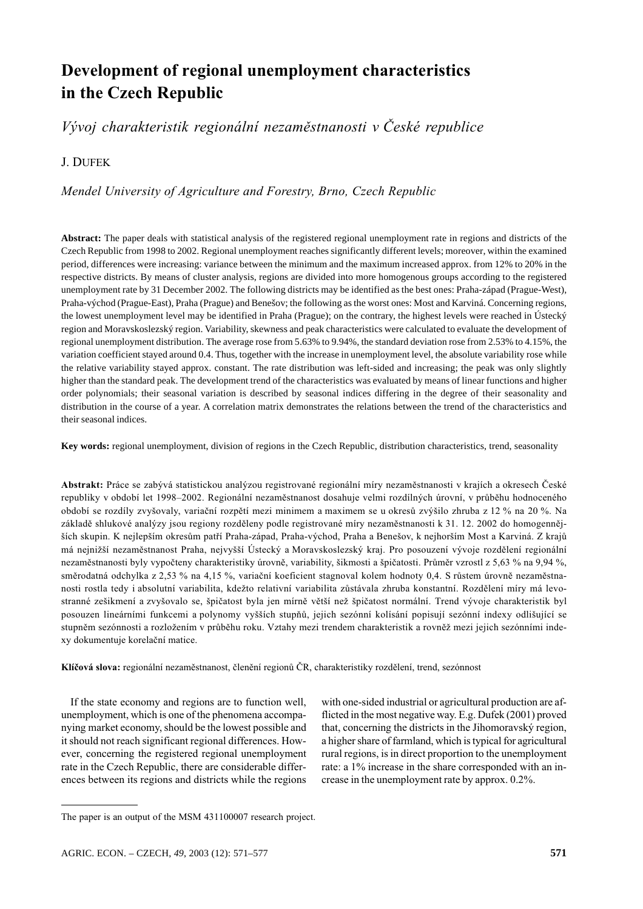# Development of regional unemployment characteristics in the Czech Republic

## Vývoj charakteristik regionální nezaměstnanosti v České republice

### I DUFFK

## Mendel University of Agriculture and Forestry, Brno, Czech Republic

**Abstract:** The paper deals with statistical analysis of the registered regional unemployment rate in regions and districts of the Czech Republic from 1998 to 2002. Regional unemployment reaches significantly different levels; moreover, within the examined period, differences were increasing: variance between the minimum and the maximum increased approx. from 12% to 20% in the respective districts. By means of cluster analysis, regions are divided into more homogenous groups according to the registered unemployment rate by 31 December 2002. The following districts may be identified as the best ones: Praha-západ (Prague-West), Praha-východ (Prague-East), Praha (Prague) and Benešov; the following as the worst ones: Most and Karviná. Concerning regions, the lowest unemployment level may be identified in Praha (Prague); on the contrary, the highest levels were reached in Ústecký region and Moravskoslezský region. Variability, skewness and peak characteristics were calculated to evaluate the development of regional unemployment distribution. The average rose from 5.63% to 9.94%, the standard deviation rose from 2.53% to 4.15%, the variation coefficient stayed around 0.4. Thus, together with the increase in unemployment level, the absolute variability rose while the relative variability stayed approx. constant. The rate distribution was left-sided and increasing; the peak was only slightly higher than the standard peak. The development trend of the characteristics was evaluated by means of linear functions and higher order polynomials; their seasonal variation is described by seasonal indices differing in the degree of their seasonality and distribution in the course of a year. A correlation matrix demonstrates the relations between the trend of the characteristics and their seasonal indices.

**Key words:** regional unemployment, division of regions in the Czech Republic, distribution characteristics, trend, seasonality

Abstrakt: Práce se zabývá statistickou analýzou registrované regionální míry nezaměstnanosti v krajích a okresech České republiky v období let 1998–2002. Regionální nezaměstnanost dosahuje velmi rozdílných úrovní, v průběhu hodnoceného období se rozdíly zvyšovaly, variační rozpětí mezi minimem a maximem se u okresů zvýšilo zhruba z 12 % na 20 %. Na základě shlukové analýzy jsou regiony rozděleny podle registrované míry nezaměstnanosti k 31. 12. 2002 do homogennějších skupin. K nejlepším okresům patří Praha-západ, Praha-východ, Praha a Benešov, k nejhorším Most a Karviná. Z krajů má nejnižší nezaměstnanost Praha, nejvyšší Ústecký a Moravskoslezský kraj. Pro posouzení vývoje rozdělení regionální nezaměstnanosti byly vypočteny charakteristiky úrovně, variability, šikmosti a špičatosti. Průměr vzrostl z 5,63 % na 9,94 %, směrodatná odchylka z 2,53 % na 4,15 %, variační koeficient stagnoval kolem hodnoty 0,4. S růstem úrovně nezaměstnanosti rostla tedy i absolutní variabilita, kdežto relativní variabilita zůstávala zhruba konstantní. Rozdělení míry má levostranné zešikmení a zvyšovalo se, špičatost byla jen mírně větší než špičatost normální. Trend vývoje charakteristik byl posouzen lineárními funkcemi a polynomy vyšších stupňů, jejich sezónní kolísání popisují sezónní indexy odlišující se stupněm sezónnosti a rozložením v průběhu roku. Vztahy mezi trendem charakteristik a rovněž mezi jejich sezónními indexy dokumentuje korelační matice.

Klíčová slova: regionální nezaměstnanost, členění regionů ČR, charakteristiky rozdělení, trend, sezónnost

If the state economy and regions are to function well, unemployment, which is one of the phenomena accompanying market economy, should be the lowest possible and it should not reach significant regional differences. However, concerning the registered regional unemployment rate in the Czech Republic, there are considerable differences between its regions and districts while the regions with one-sided industrial or agricultural production are afflicted in the most negative way. E.g. Dufek (2001) proved that, concerning the districts in the Jihomoravský region, a higher share of farmland, which is typical for agricultural rural regions, is in direct proportion to the unemployment rate: a 1% increase in the share corresponded with an increase in the unemployment rate by approx. 0.2%.

The paper is an output of the MSM 431100007 research project.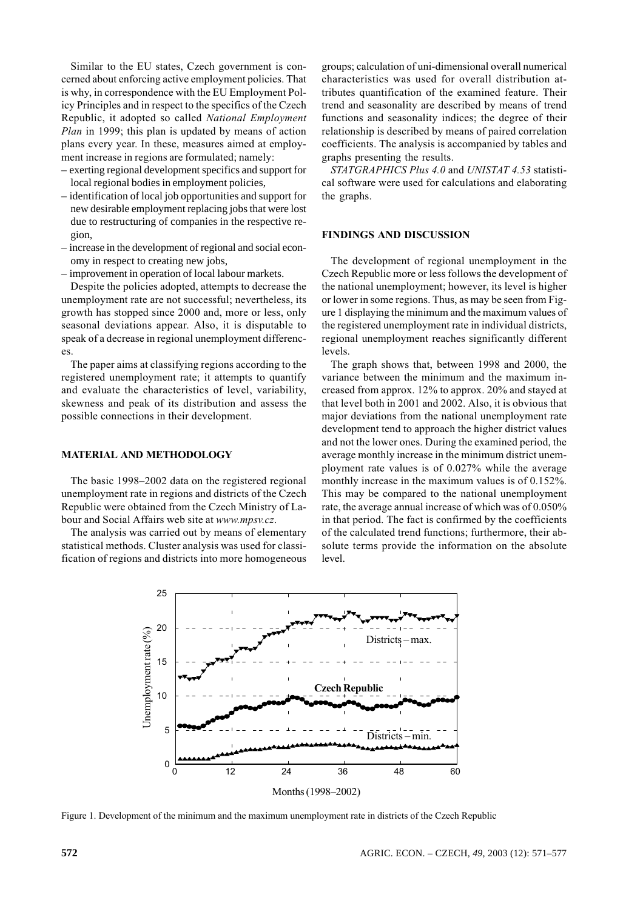Similar to the EU states, Czech government is concerned about enforcing active employment policies. That is why, in correspondence with the EU Employment Policy Principles and in respect to the specifics of the Czech Republic, it adopted so called National Employment Plan in 1999; this plan is updated by means of action plans every year. In these, measures aimed at employment increase in regions are formulated; namely:

- exerting regional development specifics and support for local regional bodies in employment policies,
- identification of local job opportunities and support for new desirable employment replacing jobs that were lost due to restructuring of companies in the respective region.
- increase in the development of regional and social economy in respect to creating new jobs.
- improvement in operation of local labour markets.

Despite the policies adopted, attempts to decrease the unemployment rate are not successful; nevertheless, its growth has stopped since 2000 and, more or less, only seasonal deviations appear. Also, it is disputable to speak of a decrease in regional unemployment differenc- $\overline{e}$ s

The paper aims at classifying regions according to the registered unemployment rate; it attempts to quantify and evaluate the characteristics of level, variability, skewness and peak of its distribution and assess the possible connections in their development.

### **MATERIAL AND METHODOLOGY**

The basic 1998–2002 data on the registered regional unemployment rate in regions and districts of the Czech Republic were obtained from the Czech Ministry of Labour and Social Affairs web site at www.mpsv.cz.

The analysis was carried out by means of elementary statistical methods. Cluster analysis was used for classification of regions and districts into more homogeneous groups; calculation of uni-dimensional overall numerical characteristics was used for overall distribution attributes quantification of the examined feature. Their trend and seasonality are described by means of trend functions and seasonality indices; the degree of their relationship is described by means of paired correlation coefficients. The analysis is accompanied by tables and graphs presenting the results.

STATGRAPHICS Plus 4.0 and UNISTAT 4.53 statistical software were used for calculations and elaborating the graphs.

#### **FINDINGS AND DISCUSSION**

The development of regional unemployment in the Czech Republic more or less follows the development of the national unemployment; however, its level is higher or lower in some regions. Thus, as may be seen from Figure 1 displaying the minimum and the maximum values of the registered unemployment rate in individual districts, regional unemployment reaches significantly different levels.

The graph shows that, between 1998 and 2000, the variance between the minimum and the maximum increased from approx. 12% to approx. 20% and stayed at that level both in 2001 and 2002. Also, it is obvious that major deviations from the national unemployment rate development tend to approach the higher district values and not the lower ones. During the examined period, the average monthly increase in the minimum district unemployment rate values is of 0.027% while the average monthly increase in the maximum values is of 0.152%. This may be compared to the national unemployment rate, the average annual increase of which was of 0.050% in that period. The fact is confirmed by the coefficients of the calculated trend functions; furthermore, their absolute terms provide the information on the absolute level.



Figure 1. Development of the minimum and the maximum unemployment rate in districts of the Czech Republic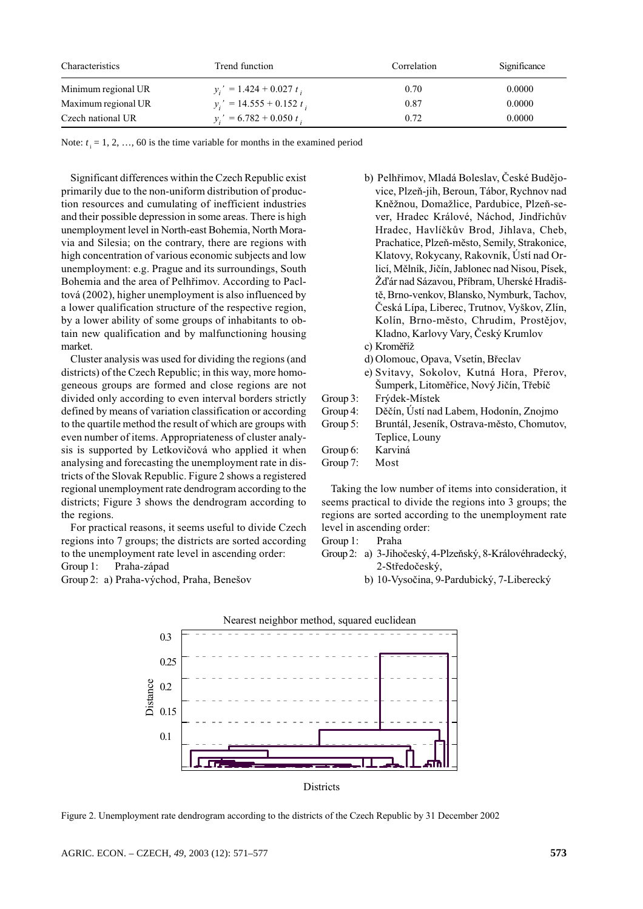| Characteristics     | Trend function              | Correlation | Significance |
|---------------------|-----------------------------|-------------|--------------|
| Minimum regional UR | $v_i' = 1.424 + 0.027 t_i$  | 0.70        | 0.0000       |
| Maximum regional UR | $v_i' = 14.555 + 0.152 t_i$ | 0.87        | 0.0000       |
| Czech national UR   | $y_i' = 6.782 + 0.050 t_i$  | 0.72        | 0.0000       |

Note:  $t_i = 1, 2, ..., 60$  is the time variable for months in the examined period

Significant differences within the Czech Republic exist primarily due to the non-uniform distribution of production resources and cumulating of inefficient industries and their possible depression in some areas. There is high unemployment level in North-east Bohemia, North Moravia and Silesia; on the contrary, there are regions with high concentration of various economic subjects and low unemployment: e.g. Prague and its surroundings, South Bohemia and the area of Pelhřimov. According to Pacltová (2002), higher unemployment is also influenced by a lower qualification structure of the respective region, by a lower ability of some groups of inhabitants to obtain new qualification and by malfunctioning housing market.

Cluster analysis was used for dividing the regions (and districts) of the Czech Republic; in this way, more homogeneous groups are formed and close regions are not divided only according to even interval borders strictly defined by means of variation classification or according to the quartile method the result of which are groups with even number of items. Appropriateness of cluster analysis is supported by Letkovičová who applied it when analysing and forecasting the unemployment rate in districts of the Slovak Republic. Figure 2 shows a registered regional unemployment rate dendrogram according to the districts; Figure 3 shows the dendrogram according to the regions.

For practical reasons, it seems useful to divide Czech regions into 7 groups; the districts are sorted according to the unemployment rate level in ascending order: Group 1: Praha-západ

Group 2: a) Praha-východ, Praha, Benešov

b) Pelhřimov, Mladá Boleslav, České Budějovice, Plzeň-iih, Beroun, Tábor, Rychnov nad Kněžnou, Domažlice, Pardubice, Plzeň-sever, Hradec Králové, Náchod, Jindřichův Hradec, Havlíčkův Brod, Jihlava, Cheb, Prachatice, Plzeň-město, Semily, Strakonice, Klatovy, Rokycany, Rakovník, Ústí nad Orlicí, Mělník, Jičín, Jablonec nad Nisou, Písek, Žďár nad Sázavou, Příbram, Uherské Hradiště, Brno-venkov, Blansko, Nymburk, Tachov, Česká Lípa, Liberec, Trutnov, Vyškov, Zlín, Kolín, Brno-město, Chrudim, Prostějov, Kladno, Karlovy Vary, Český Krumlov c) Kroměříž d) Olomouc, Opava, Vsetín, Břeclav e) Svitavy, Sokolov, Kutná Hora, Přerov, Šumperk, Litoměřice, Nový Jičín, Třebíč Group 3: Frýdek-Místek Group 4: Děčín, Ústí nad Labem, Hodonín, Znojmo Group 5: Bruntál, Jeseník, Ostrava-město, Chomutov, Teplice, Louny

#### Group 6: Karviná

Group 7: Most

Taking the low number of items into consideration, it seems practical to divide the regions into 3 groups; the regions are sorted according to the unemployment rate level in ascending order:

- Group 1: Praha
- Group 2: a) 3-Jihočeský, 4-Plzeňský, 8-Královéhradecký, 2-Středočeský,
	- b) 10-Vysočina, 9-Pardubický, 7-Liberecký



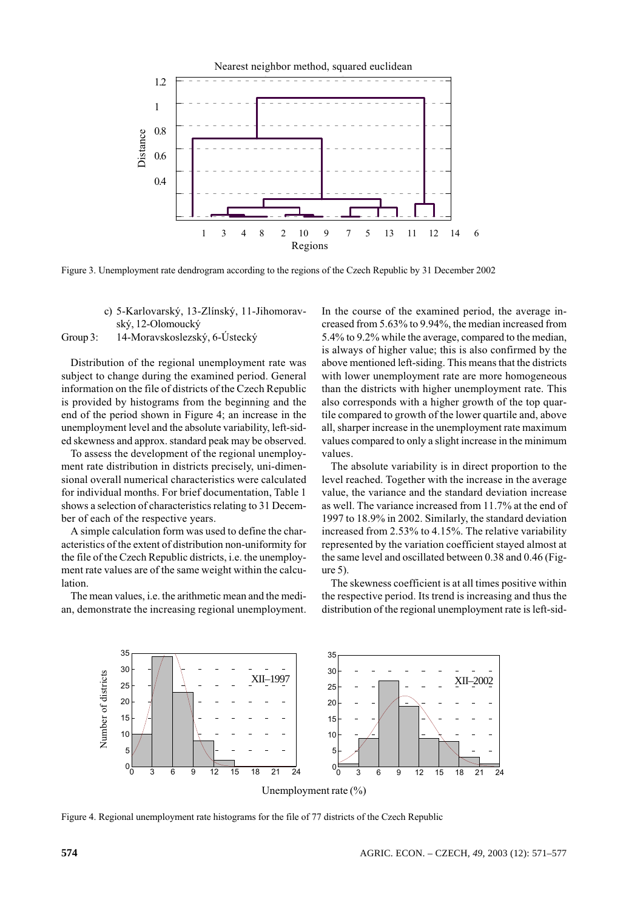

Figure 3. Unemployment rate dendrogram according to the regions of the Czech Republic by 31 December 2002

c) 5-Karlovarský, 13-Zlínský, 11-Jihomoravský, 12-Olomoucký

#### Group 3: 14-Moravskoslezský, 6-Ústecký

Distribution of the regional unemployment rate was subject to change during the examined period. General information on the file of districts of the Czech Republic is provided by histograms from the beginning and the end of the period shown in Figure 4; an increase in the unemployment level and the absolute variability, left-sided skewness and approx. standard peak may be observed.

To assess the development of the regional unemployment rate distribution in districts precisely, uni-dimensional overall numerical characteristics were calculated for individual months. For brief documentation, Table 1 shows a selection of characteristics relating to 31 December of each of the respective years.

A simple calculation form was used to define the characteristics of the extent of distribution non-uniformity for the file of the Czech Republic districts, *i.e.* the unemployment rate values are of the same weight within the calculation.

The mean values, i.e. the arithmetic mean and the median, demonstrate the increasing regional unemployment. In the course of the examined period, the average increased from 5.63% to 9.94%, the median increased from 5.4% to 9.2% while the average, compared to the median, is always of higher value; this is also confirmed by the above mentioned left-siding. This means that the districts with lower unemployment rate are more homogeneous than the districts with higher unemployment rate. This also corresponds with a higher growth of the top quartile compared to growth of the lower quartile and, above all, sharper increase in the unemployment rate maximum values compared to only a slight increase in the minimum values.

The absolute variability is in direct proportion to the level reached. Together with the increase in the average value, the variance and the standard deviation increase as well. The variance increased from 11.7% at the end of 1997 to 18.9% in 2002. Similarly, the standard deviation increased from 2.53% to 4.15%. The relative variability represented by the variation coefficient stayed almost at the same level and oscillated between 0.38 and 0.46 (Fig $ure 5)$ .

The skewness coefficient is at all times positive within the respective period. Its trend is increasing and thus the distribution of the regional unemployment rate is left-sid-



Figure 4. Regional unemployment rate histograms for the file of 77 districts of the Czech Republic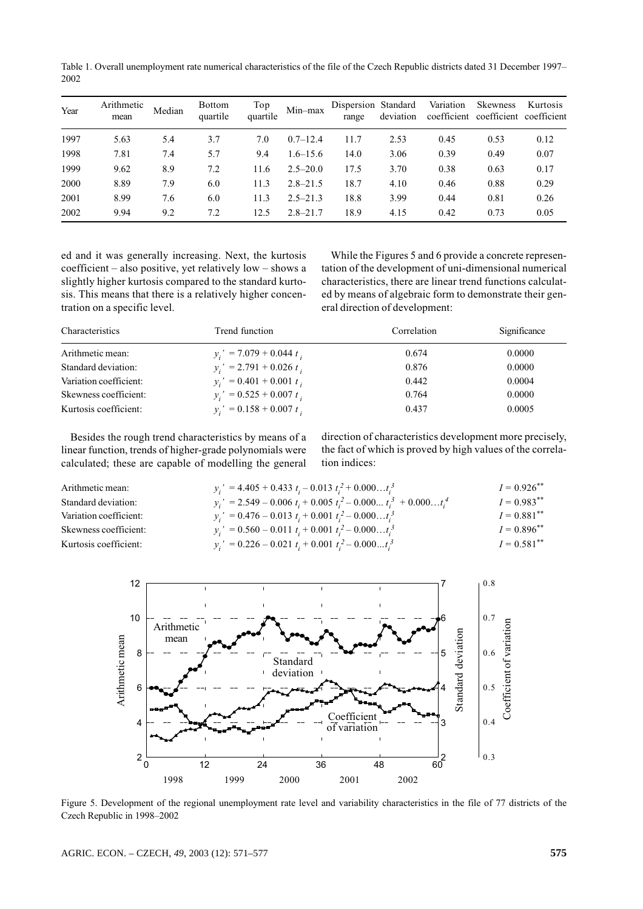Table 1. Overall unemployment rate numerical characteristics of the file of the Czech Republic districts dated 31 December 1997– 2002

| Year | Arithmetic<br>mean | Median | <b>Bottom</b><br>quartile | Top<br>quartile | Min-max      | Dispersion Standard<br>range | deviation | Variation<br>coefficient | <b>Skewness</b><br>coefficient coefficient | Kurtosis |
|------|--------------------|--------|---------------------------|-----------------|--------------|------------------------------|-----------|--------------------------|--------------------------------------------|----------|
| 1997 | 5.63               | 5.4    | 3.7                       | 7.0             | $0.7 - 12.4$ | 11.7                         | 2.53      | 0.45                     | 0.53                                       | 0.12     |
| 1998 | 7.81               | 7.4    | 5.7                       | 9.4             | $1.6 - 15.6$ | 14.0                         | 3.06      | 0.39                     | 0.49                                       | 0.07     |
| 1999 | 9.62               | 8.9    | 7.2                       | 11.6            | $2.5 - 20.0$ | 17.5                         | 3.70      | 0.38                     | 0.63                                       | 0.17     |
| 2000 | 8.89               | 7.9    | 6.0                       | 11.3            | $2.8 - 21.5$ | 18.7                         | 4.10      | 0.46                     | 0.88                                       | 0.29     |
| 2001 | 8.99               | 7.6    | 6.0                       | 11.3            | $2.5 - 21.3$ | 18.8                         | 3.99      | 0.44                     | 0.81                                       | 0.26     |
| 2002 | 9.94               | 9.2    | 7.2                       | 12.5            | $2.8 - 21.7$ | 18.9                         | 4.15      | 0.42                     | 0.73                                       | 0.05     |

ed and it was generally increasing. Next, the kurtosis coefficient – also positive, yet relatively  $low -$  shows a slightly higher kurtosis compared to the standard kurtosis. This means that there is a relatively higher concentration on a specific level.

While the Figures 5 and 6 provide a concrete representation of the development of uni-dimensional numerical characteristics, there are linear trend functions calculated by means of algebraic form to demonstrate their general direction of development:

| Characteristics        | Trend function             | Correlation | Significance |
|------------------------|----------------------------|-------------|--------------|
| Arithmetic mean:       | $y_i' = 7.079 + 0.044 t_i$ | 0.674       | 0.0000       |
| Standard deviation:    | $y_i' = 2.791 + 0.026 t_i$ | 0.876       | 0.0000       |
| Variation coefficient: | $y_i' = 0.401 + 0.001 t_i$ | 0.442       | 0.0004       |
| Skewness coefficient:  | $y_i' = 0.525 + 0.007 t_i$ | 0.764       | 0.0000       |
| Kurtosis coefficient:  | $y_i' = 0.158 + 0.007 t_i$ | 0.437       | 0.0005       |

Besides the rough trend characteristics by means of a linear function, trends of higher-grade polynomials were calculated; these are capable of modelling the general direction of characteristics development more precisely, the fact of which is proved by high values of the correlation indices:

| Arithmetic mean:       | $y_i' = 4.405 + 0.433 t_i - 0.013 t_i^2 + 0.000t_i^3$                | $I = 0.926$ ** |
|------------------------|----------------------------------------------------------------------|----------------|
| Standard deviation:    | $y_i' = 2.549 - 0.006 t_i + 0.005 t_i^2 - 0.000 t_i^3 + 0.000 t_i^4$ | $I = 0.983$ ** |
| Variation coefficient: | $y_i' = 0.476 - 0.013 t_i + 0.001 t_i^2 - 0.000t_i^3$                | $I = 0.881$ ** |
| Skewness coefficient:  | $y_i' = 0.560 - 0.011 t_i + 0.001 t_i^2 - 0.000t_i^3$                | $I = 0.896$ ** |
| Kurtosis coefficient:  | $y_i' = 0.226 - 0.021 t_i + 0.001 t_i^2 - 0.000t_i^3$                | $I = 0.581$ ** |
|                        |                                                                      |                |



Figure 5. Development of the regional unemployment rate level and variability characteristics in the file of 77 districts of the Czech Republic in 1998-2002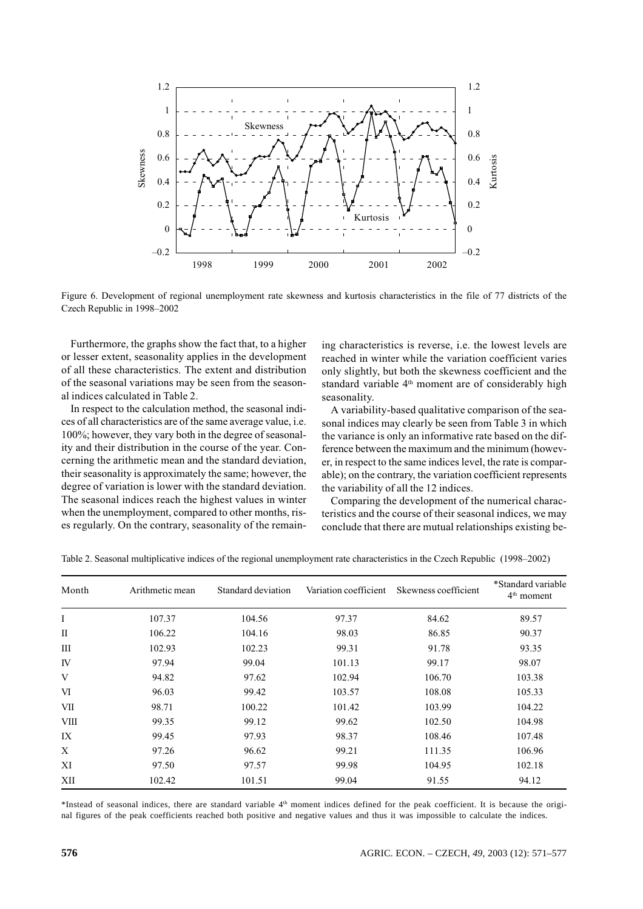

Figure 6. Development of regional unemployment rate skewness and kurtosis characteristics in the file of 77 districts of the Czech Republic in 1998-2002

Furthermore, the graphs show the fact that, to a higher or lesser extent, seasonality applies in the development of all these characteristics. The extent and distribution of the seasonal variations may be seen from the seasonal indices calculated in Table 2.

In respect to the calculation method, the seasonal indices of all characteristics are of the same average value, i.e. 100%; however, they vary both in the degree of seasonality and their distribution in the course of the year. Concerning the arithmetic mean and the standard deviation, their seasonality is approximately the same; however, the degree of variation is lower with the standard deviation. The seasonal indices reach the highest values in winter when the unemployment, compared to other months, rises regularly. On the contrary, seasonality of the remaining characteristics is reverse, i.e. the lowest levels are reached in winter while the variation coefficient varies only slightly, but both the skewness coefficient and the standard variable 4<sup>th</sup> moment are of considerably high seasonality.

A variability-based qualitative comparison of the seasonal indices may clearly be seen from Table 3 in which the variance is only an informative rate based on the difference between the maximum and the minimum (however, in respect to the same indices level, the rate is comparable); on the contrary, the variation coefficient represents the variability of all the 12 indices.

Comparing the development of the numerical characteristics and the course of their seasonal indices, we may conclude that there are mutual relationships existing be-

| Month       | Arithmetic mean | Standard deviation | Variation coefficient | Skewness coefficient | *Standard variable<br>4 <sup>th</sup> moment |
|-------------|-----------------|--------------------|-----------------------|----------------------|----------------------------------------------|
| I           | 107.37          | 104.56             | 97.37                 | 84.62                | 89.57                                        |
| П           | 106.22          | 104.16             | 98.03                 | 86.85                | 90.37                                        |
| Ш           | 102.93          | 102.23             | 99.31                 | 91.78                | 93.35                                        |
| IV          | 97.94           | 99.04              | 101.13                | 99.17                | 98.07                                        |
| V           | 94.82           | 97.62              | 102.94                | 106.70               | 103.38                                       |
| VI          | 96.03           | 99.42              | 103.57                | 108.08               | 105.33                                       |
| VІІ         | 98.71           | 100.22             | 101.42                | 103.99               | 104.22                                       |
| <b>VIII</b> | 99.35           | 99.12              | 99.62                 | 102.50               | 104.98                                       |
| IX          | 99.45           | 97.93              | 98.37                 | 108.46               | 107.48                                       |
| X           | 97.26           | 96.62              | 99.21                 | 111.35               | 106.96                                       |
| XI          | 97.50           | 97.57              | 99.98                 | 104.95               | 102.18                                       |
| XII         | 102.42          | 101.51             | 99.04                 | 91.55                | 94.12                                        |

Table 2. Seasonal multiplicative indices of the regional unemployment rate characteristics in the Czech Republic (1998–2002)

\*Instead of seasonal indices, there are standard variable 4<sup>th</sup> moment indices defined for the peak coefficient. It is because the original figures of the peak coefficients reached both positive and negative values and thus it was impossible to calculate the indices.